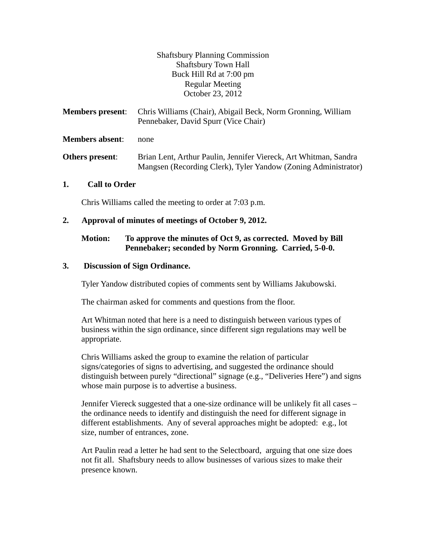Shaftsbury Planning Commission Shaftsbury Town Hall Buck Hill Rd at 7:00 pm Regular Meeting October 23, 2012

| <b>Members present:</b> | Chris Williams (Chair), Abigail Beck, Norm Gronning, William<br>Pennebaker, David Spurr (Vice Chair)                               |
|-------------------------|------------------------------------------------------------------------------------------------------------------------------------|
| <b>Members absent:</b>  | none                                                                                                                               |
| Others present:         | Brian Lent, Arthur Paulin, Jennifer Viereck, Art Whitman, Sandra<br>Mangsen (Recording Clerk), Tyler Yandow (Zoning Administrator) |

#### **1. Call to Order**

Chris Williams called the meeting to order at 7:03 p.m.

#### **2. Approval of minutes of meetings of October 9, 2012.**

## **Motion: To approve the minutes of Oct 9, as corrected. Moved by Bill Pennebaker; seconded by Norm Gronning. Carried, 5-0-0.**

#### **3. Discussion of Sign Ordinance.**

Tyler Yandow distributed copies of comments sent by Williams Jakubowski.

The chairman asked for comments and questions from the floor.

Art Whitman noted that here is a need to distinguish between various types of business within the sign ordinance, since different sign regulations may well be appropriate.

Chris Williams asked the group to examine the relation of particular signs/categories of signs to advertising, and suggested the ordinance should distinguish between purely "directional" signage (e.g., "Deliveries Here") and signs whose main purpose is to advertise a business.

Jennifer Viereck suggested that a one-size ordinance will be unlikely fit all cases – the ordinance needs to identify and distinguish the need for different signage in different establishments. Any of several approaches might be adopted: e.g., lot size, number of entrances, zone.

Art Paulin read a letter he had sent to the Selectboard, arguing that one size does not fit all. Shaftsbury needs to allow businesses of various sizes to make their presence known.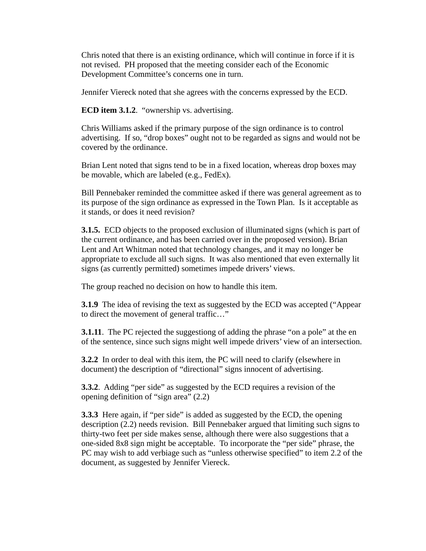Chris noted that there is an existing ordinance, which will continue in force if it is not revised. PH proposed that the meeting consider each of the Economic Development Committee's concerns one in turn.

Jennifer Viereck noted that she agrees with the concerns expressed by the ECD.

**ECD item 3.1.2**. "ownership vs. advertising.

Chris Williams asked if the primary purpose of the sign ordinance is to control advertising. If so, "drop boxes" ought not to be regarded as signs and would not be covered by the ordinance.

Brian Lent noted that signs tend to be in a fixed location, whereas drop boxes may be movable, which are labeled (e.g., FedEx).

Bill Pennebaker reminded the committee asked if there was general agreement as to its purpose of the sign ordinance as expressed in the Town Plan. Is it acceptable as it stands, or does it need revision?

**3.1.5.** ECD objects to the proposed exclusion of illuminated signs (which is part of the current ordinance, and has been carried over in the proposed version). Brian Lent and Art Whitman noted that technology changes, and it may no longer be appropriate to exclude all such signs. It was also mentioned that even externally lit signs (as currently permitted) sometimes impede drivers' views.

The group reached no decision on how to handle this item.

**3.1.9** The idea of revising the text as suggested by the ECD was accepted ("Appear" to direct the movement of general traffic…"

**3.1.11**. The PC rejected the suggestiong of adding the phrase "on a pole" at the en of the sentence, since such signs might well impede drivers' view of an intersection.

**3.2.2** In order to deal with this item, the PC will need to clarify (elsewhere in document) the description of "directional" signs innocent of advertising.

**3.3.2**. Adding "per side" as suggested by the ECD requires a revision of the opening definition of "sign area" (2.2)

**3.3.3** Here again, if "per side" is added as suggested by the ECD, the opening description (2.2) needs revision. Bill Pennebaker argued that limiting such signs to thirty-two feet per side makes sense, although there were also suggestions that a one-sided 8x8 sign might be acceptable. To incorporate the "per side" phrase, the PC may wish to add verbiage such as "unless otherwise specified" to item 2.2 of the document, as suggested by Jennifer Viereck.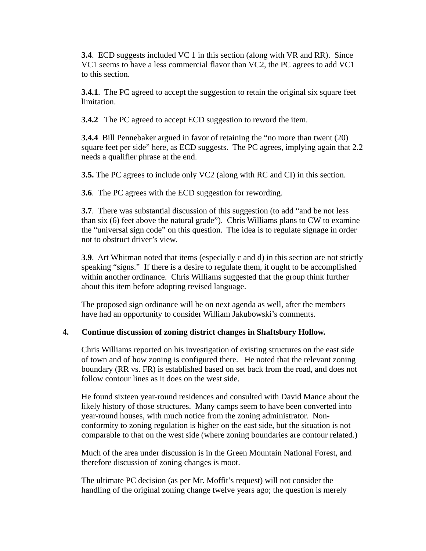**3.4**. ECD suggests included VC 1 in this section (along with VR and RR). Since VC1 seems to have a less commercial flavor than VC2, the PC agrees to add VC1 to this section.

**3.4.1**. The PC agreed to accept the suggestion to retain the original six square feet limitation.

**3.4.2** The PC agreed to accept ECD suggestion to reword the item.

**3.4.4** Bill Pennebaker argued in favor of retaining the "no more than twent (20) square feet per side" here, as ECD suggests. The PC agrees, implying again that 2.2 needs a qualifier phrase at the end.

**3.5.** The PC agrees to include only VC2 (along with RC and CI) in this section.

**3.6**. The PC agrees with the ECD suggestion for rewording.

**3.7**. There was substantial discussion of this suggestion (to add "and be not less than six (6) feet above the natural grade"). Chris Williams plans to CW to examine the "universal sign code" on this question. The idea is to regulate signage in order not to obstruct driver's view.

**3.9**. Art Whitman noted that items (especially c and d) in this section are not strictly speaking "signs." If there is a desire to regulate them, it ought to be accomplished within another ordinance. Chris Williams suggested that the group think further about this item before adopting revised language.

The proposed sign ordinance will be on next agenda as well, after the members have had an opportunity to consider William Jakubowski's comments.

# **4. Continue discussion of zoning district changes in Shaftsbury Hollow.**

Chris Williams reported on his investigation of existing structures on the east side of town and of how zoning is configured there. He noted that the relevant zoning boundary (RR vs. FR) is established based on set back from the road, and does not follow contour lines as it does on the west side.

He found sixteen year-round residences and consulted with David Mance about the likely history of those structures. Many camps seem to have been converted into year-round houses, with much notice from the zoning administrator. Nonconformity to zoning regulation is higher on the east side, but the situation is not comparable to that on the west side (where zoning boundaries are contour related.)

Much of the area under discussion is in the Green Mountain National Forest, and therefore discussion of zoning changes is moot.

The ultimate PC decision (as per Mr. Moffit's request) will not consider the handling of the original zoning change twelve years ago; the question is merely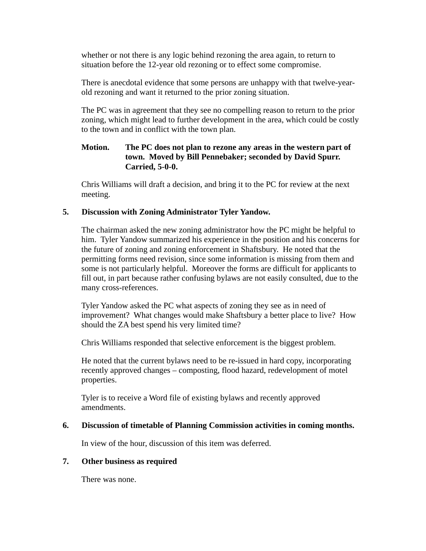whether or not there is any logic behind rezoning the area again, to return to situation before the 12-year old rezoning or to effect some compromise.

There is anecdotal evidence that some persons are unhappy with that twelve-yearold rezoning and want it returned to the prior zoning situation.

The PC was in agreement that they see no compelling reason to return to the prior zoning, which might lead to further development in the area, which could be costly to the town and in conflict with the town plan.

# **Motion. The PC does not plan to rezone any areas in the western part of town. Moved by Bill Pennebaker; seconded by David Spurr. Carried, 5-0-0.**

Chris Williams will draft a decision, and bring it to the PC for review at the next meeting.

## **5. Discussion with Zoning Administrator Tyler Yandow.**

The chairman asked the new zoning administrator how the PC might be helpful to him. Tyler Yandow summarized his experience in the position and his concerns for the future of zoning and zoning enforcement in Shaftsbury. He noted that the permitting forms need revision, since some information is missing from them and some is not particularly helpful. Moreover the forms are difficult for applicants to fill out, in part because rather confusing bylaws are not easily consulted, due to the many cross-references.

Tyler Yandow asked the PC what aspects of zoning they see as in need of improvement? What changes would make Shaftsbury a better place to live? How should the ZA best spend his very limited time?

Chris Williams responded that selective enforcement is the biggest problem.

He noted that the current bylaws need to be re-issued in hard copy, incorporating recently approved changes – composting, flood hazard, redevelopment of motel properties.

Tyler is to receive a Word file of existing bylaws and recently approved amendments.

## **6. Discussion of timetable of Planning Commission activities in coming months.**

In view of the hour, discussion of this item was deferred.

#### **7. Other business as required**

There was none.